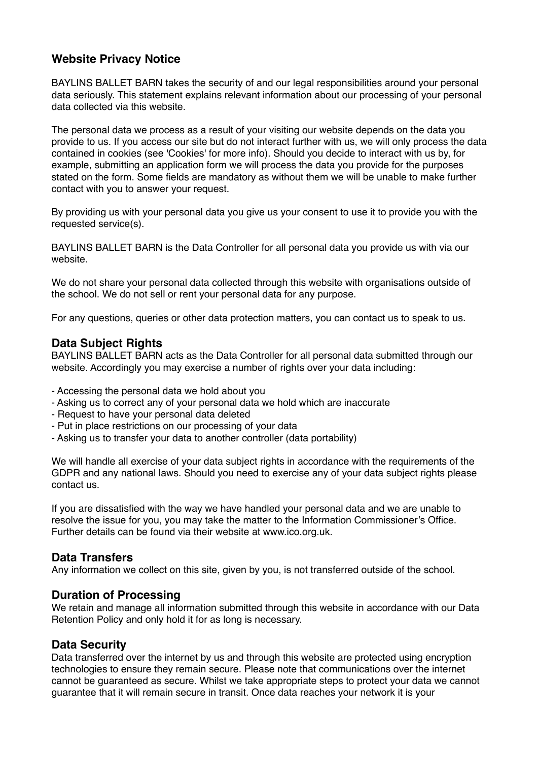# **Website Privacy Notice**

BAYLINS BALLET BARN takes the security of and our legal responsibilities around your personal data seriously. This statement explains relevant information about our processing of your personal data collected via this website.

The personal data we process as a result of your visiting our website depends on the data you provide to us. If you access our site but do not interact further with us, we will only process the data contained in cookies (see 'Cookies' for more info). Should you decide to interact with us by, for example, submitting an application form we will process the data you provide for the purposes stated on the form. Some fields are mandatory as without them we will be unable to make further contact with you to answer your request.

By providing us with your personal data you give us your consent to use it to provide you with the requested service(s).

BAYLINS BALLET BARN is the Data Controller for all personal data you provide us with via our website.

We do not share your personal data collected through this website with organisations outside of the school. We do not sell or rent your personal data for any purpose.

For any questions, queries or other data protection matters, you can contact us to speak to us.

## **Data Subject Rights**

BAYLINS BALLET BARN acts as the Data Controller for all personal data submitted through our website. Accordingly you may exercise a number of rights over your data including:

- Accessing the personal data we hold about you
- Asking us to correct any of your personal data we hold which are inaccurate
- Request to have your personal data deleted
- Put in place restrictions on our processing of your data
- Asking us to transfer your data to another controller (data portability)

We will handle all exercise of your data subject rights in accordance with the requirements of the GDPR and any national laws. Should you need to exercise any of your data subject rights please contact us.

If you are dissatisfied with the way we have handled your personal data and we are unable to resolve the issue for you, you may take the matter to the Information Commissioner's Office. Further details can be found via their website at www.ico.org.uk.

#### **Data Transfers**

Any information we collect on this site, given by you, is not transferred outside of the school.

#### **Duration of Processing**

We retain and manage all information submitted through this website in accordance with our Data Retention Policy and only hold it for as long is necessary.

## **Data Security**

Data transferred over the internet by us and through this website are protected using encryption technologies to ensure they remain secure. Please note that communications over the internet cannot be guaranteed as secure. Whilst we take appropriate steps to protect your data we cannot guarantee that it will remain secure in transit. Once data reaches your network it is your